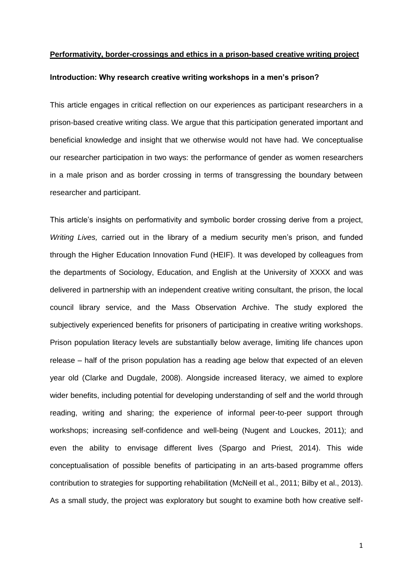### **Performativity, border-crossings and ethics in a prison-based creative writing project**

#### **Introduction: Why research creative writing workshops in a men's prison?**

This article engages in critical reflection on our experiences as participant researchers in a prison-based creative writing class. We argue that this participation generated important and beneficial knowledge and insight that we otherwise would not have had. We conceptualise our researcher participation in two ways: the performance of gender as women researchers in a male prison and as border crossing in terms of transgressing the boundary between researcher and participant.

This article's insights on performativity and symbolic border crossing derive from a project, *Writing Lives,* carried out in the library of a medium security men's prison, and funded through the Higher Education Innovation Fund (HEIF). It was developed by colleagues from the departments of Sociology, Education, and English at the University of XXXX and was delivered in partnership with an independent creative writing consultant, the prison, the local council library service, and the Mass Observation Archive. The study explored the subjectively experienced benefits for prisoners of participating in creative writing workshops. Prison population literacy levels are substantially below average, limiting life chances upon release – half of the prison population has a reading age below that expected of an eleven year old (Clarke and Dugdale, 2008). Alongside increased literacy, we aimed to explore wider benefits, including potential for developing understanding of self and the world through reading, writing and sharing; the experience of informal peer-to-peer support through workshops; increasing self-confidence and well-being (Nugent and Louckes, 2011); and even the ability to envisage different lives (Spargo and Priest, 2014). This wide conceptualisation of possible benefits of participating in an arts-based programme offers contribution to strategies for supporting rehabilitation (McNeill et al., 2011; Bilby et al., 2013). As a small study, the project was exploratory but sought to examine both how creative self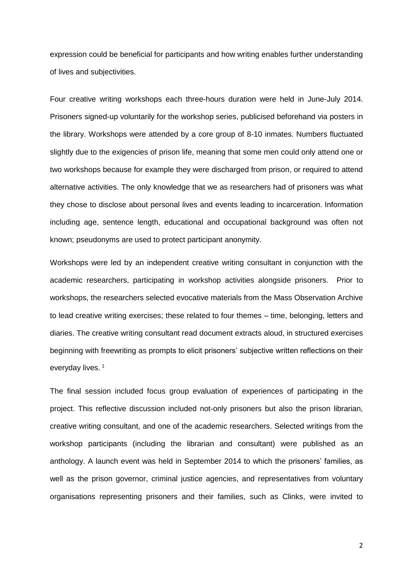expression could be beneficial for participants and how writing enables further understanding of lives and subjectivities.

Four creative writing workshops each three-hours duration were held in June-July 2014. Prisoners signed-up voluntarily for the workshop series, publicised beforehand via posters in the library. Workshops were attended by a core group of 8-10 inmates. Numbers fluctuated slightly due to the exigencies of prison life, meaning that some men could only attend one or two workshops because for example they were discharged from prison, or required to attend alternative activities. The only knowledge that we as researchers had of prisoners was what they chose to disclose about personal lives and events leading to incarceration. Information including age, sentence length, educational and occupational background was often not known; pseudonyms are used to protect participant anonymity.

Workshops were led by an independent creative writing consultant in conjunction with the academic researchers, participating in workshop activities alongside prisoners. Prior to workshops, the researchers selected evocative materials from the Mass Observation Archive to lead creative writing exercises; these related to four themes – time, belonging, letters and diaries. The creative writing consultant read document extracts aloud, in structured exercises beginning with freewriting as prompts to elicit prisoners' subjective written reflections on their everyday lives.<sup>1</sup>

The final session included focus group evaluation of experiences of participating in the project. This reflective discussion included not-only prisoners but also the prison librarian, creative writing consultant, and one of the academic researchers. Selected writings from the workshop participants (including the librarian and consultant) were published as an anthology. A launch event was held in September 2014 to which the prisoners' families, as well as the prison governor, criminal justice agencies, and representatives from voluntary organisations representing prisoners and their families, such as Clinks, were invited to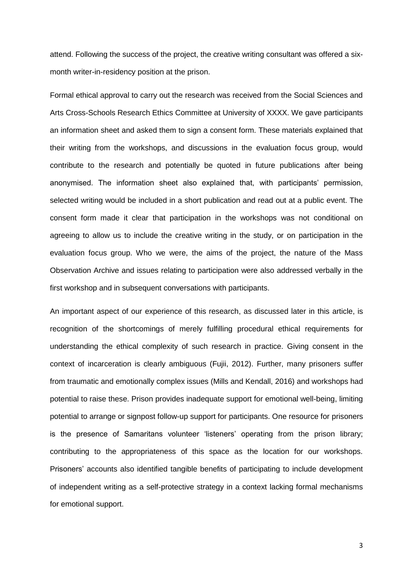attend. Following the success of the project, the creative writing consultant was offered a sixmonth writer-in-residency position at the prison.

Formal ethical approval to carry out the research was received from the Social Sciences and Arts Cross-Schools Research Ethics Committee at University of XXXX. We gave participants an information sheet and asked them to sign a consent form. These materials explained that their writing from the workshops, and discussions in the evaluation focus group, would contribute to the research and potentially be quoted in future publications after being anonymised. The information sheet also explained that, with participants' permission, selected writing would be included in a short publication and read out at a public event. The consent form made it clear that participation in the workshops was not conditional on agreeing to allow us to include the creative writing in the study, or on participation in the evaluation focus group. Who we were, the aims of the project, the nature of the Mass Observation Archive and issues relating to participation were also addressed verbally in the first workshop and in subsequent conversations with participants.

An important aspect of our experience of this research, as discussed later in this article, is recognition of the shortcomings of merely fulfilling procedural ethical requirements for understanding the ethical complexity of such research in practice. Giving consent in the context of incarceration is clearly ambiguous (Fujii, 2012). Further, many prisoners suffer from traumatic and emotionally complex issues (Mills and Kendall, 2016) and workshops had potential to raise these. Prison provides inadequate support for emotional well-being, limiting potential to arrange or signpost follow-up support for participants. One resource for prisoners is the presence of Samaritans volunteer 'listeners' operating from the prison library; contributing to the appropriateness of this space as the location for our workshops. Prisoners' accounts also identified tangible benefits of participating to include development of independent writing as a self-protective strategy in a context lacking formal mechanisms for emotional support.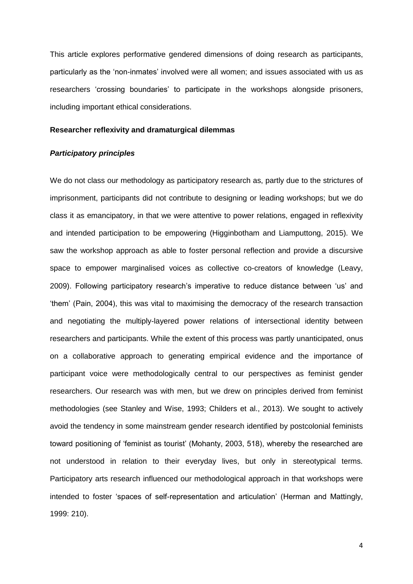This article explores performative gendered dimensions of doing research as participants, particularly as the 'non-inmates' involved were all women; and issues associated with us as researchers 'crossing boundaries' to participate in the workshops alongside prisoners, including important ethical considerations.

## **Researcher reflexivity and dramaturgical dilemmas**

## *Participatory principles*

We do not class our methodology as participatory research as, partly due to the strictures of imprisonment, participants did not contribute to designing or leading workshops; but we do class it as emancipatory, in that we were attentive to power relations, engaged in reflexivity and intended participation to be empowering (Higginbotham and Liamputtong, 2015). We saw the workshop approach as able to foster personal reflection and provide a discursive space to empower marginalised voices as collective co-creators of knowledge (Leavy, 2009). Following participatory research's imperative to reduce distance between 'us' and 'them' (Pain, 2004), this was vital to maximising the democracy of the research transaction and negotiating the multiply-layered power relations of intersectional identity between researchers and participants. While the extent of this process was partly unanticipated, onus on a collaborative approach to generating empirical evidence and the importance of participant voice were methodologically central to our perspectives as feminist gender researchers. Our research was with men, but we drew on principles derived from feminist methodologies (see Stanley and Wise, 1993; Childers et al., 2013). We sought to actively avoid the tendency in some mainstream gender research identified by postcolonial feminists toward positioning of 'feminist as tourist' (Mohanty, 2003, 518), whereby the researched are not understood in relation to their everyday lives, but only in stereotypical terms. Participatory arts research influenced our methodological approach in that workshops were intended to foster 'spaces of self-representation and articulation' (Herman and Mattingly, 1999: 210).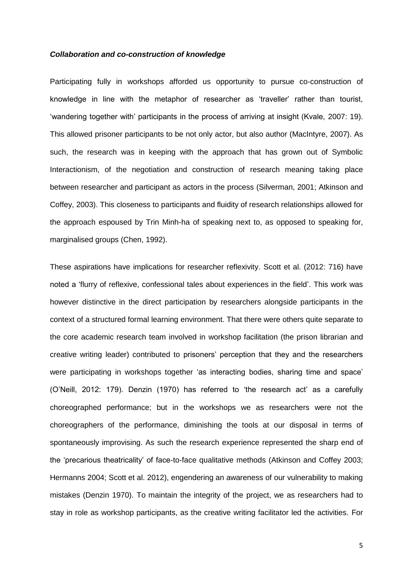### *Collaboration and co-construction of knowledge*

Participating fully in workshops afforded us opportunity to pursue co-construction of knowledge in line with the metaphor of researcher as 'traveller' rather than tourist, 'wandering together with' participants in the process of arriving at insight (Kvale, 2007: 19). This allowed prisoner participants to be not only actor, but also author (MacIntyre, 2007). As such, the research was in keeping with the approach that has grown out of Symbolic Interactionism, of the negotiation and construction of research meaning taking place between researcher and participant as actors in the process (Silverman, 2001; Atkinson and Coffey, 2003). This closeness to participants and fluidity of research relationships allowed for the approach espoused by Trin Minh-ha of speaking next to, as opposed to speaking for, marginalised groups (Chen, 1992).

These aspirations have implications for researcher reflexivity. Scott et al. (2012: 716) have noted a 'flurry of reflexive, confessional tales about experiences in the field'. This work was however distinctive in the direct participation by researchers alongside participants in the context of a structured formal learning environment. That there were others quite separate to the core academic research team involved in workshop facilitation (the prison librarian and creative writing leader) contributed to prisoners' perception that they and the researchers were participating in workshops together 'as interacting bodies, sharing time and space' (O'Neill, 2012: 179). Denzin (1970) has referred to 'the research act' as a carefully choreographed performance; but in the workshops we as researchers were not the choreographers of the performance, diminishing the tools at our disposal in terms of spontaneously improvising. As such the research experience represented the sharp end of the 'precarious theatricality' of face-to-face qualitative methods (Atkinson and Coffey 2003; Hermanns 2004; Scott et al. 2012), engendering an awareness of our vulnerability to making mistakes (Denzin 1970). To maintain the integrity of the project, we as researchers had to stay in role as workshop participants, as the creative writing facilitator led the activities. For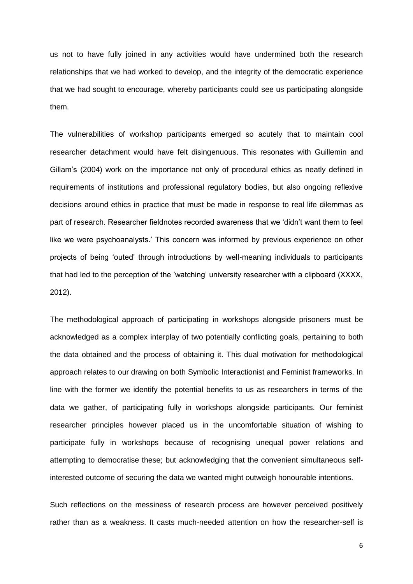us not to have fully joined in any activities would have undermined both the research relationships that we had worked to develop, and the integrity of the democratic experience that we had sought to encourage, whereby participants could see us participating alongside them.

The vulnerabilities of workshop participants emerged so acutely that to maintain cool researcher detachment would have felt disingenuous. This resonates with Guillemin and Gillam's (2004) work on the importance not only of procedural ethics as neatly defined in requirements of institutions and professional regulatory bodies, but also ongoing reflexive decisions around ethics in practice that must be made in response to real life dilemmas as part of research. Researcher fieldnotes recorded awareness that we 'didn't want them to feel like we were psychoanalysts.' This concern was informed by previous experience on other projects of being 'outed' through introductions by well-meaning individuals to participants that had led to the perception of the 'watching' university researcher with a clipboard (XXXX, 2012).

The methodological approach of participating in workshops alongside prisoners must be acknowledged as a complex interplay of two potentially conflicting goals, pertaining to both the data obtained and the process of obtaining it. This dual motivation for methodological approach relates to our drawing on both Symbolic Interactionist and Feminist frameworks. In line with the former we identify the potential benefits to us as researchers in terms of the data we gather, of participating fully in workshops alongside participants. Our feminist researcher principles however placed us in the uncomfortable situation of wishing to participate fully in workshops because of recognising unequal power relations and attempting to democratise these; but acknowledging that the convenient simultaneous selfinterested outcome of securing the data we wanted might outweigh honourable intentions.

Such reflections on the messiness of research process are however perceived positively rather than as a weakness. It casts much-needed attention on how the researcher-self is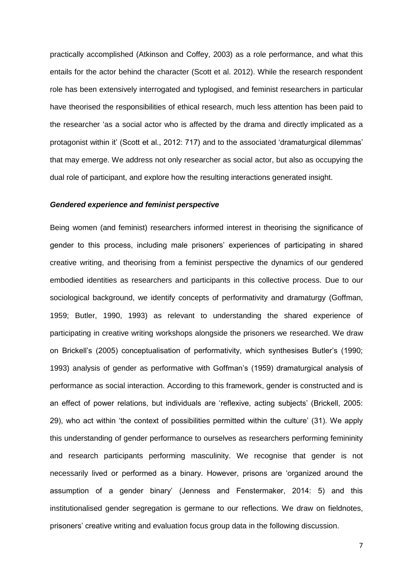practically accomplished (Atkinson and Coffey, 2003) as a role performance, and what this entails for the actor behind the character (Scott et al. 2012). While the research respondent role has been extensively interrogated and typlogised, and feminist researchers in particular have theorised the responsibilities of ethical research, much less attention has been paid to the researcher 'as a social actor who is affected by the drama and directly implicated as a protagonist within it' (Scott et al., 2012: 717) and to the associated 'dramaturgical dilemmas' that may emerge. We address not only researcher as social actor, but also as occupying the dual role of participant, and explore how the resulting interactions generated insight.

### *Gendered experience and feminist perspective*

Being women (and feminist) researchers informed interest in theorising the significance of gender to this process, including male prisoners' experiences of participating in shared creative writing, and theorising from a feminist perspective the dynamics of our gendered embodied identities as researchers and participants in this collective process. Due to our sociological background, we identify concepts of performativity and dramaturgy (Goffman, 1959; Butler, 1990, 1993) as relevant to understanding the shared experience of participating in creative writing workshops alongside the prisoners we researched. We draw on Brickell's (2005) conceptualisation of performativity, which synthesises Butler's (1990; 1993) analysis of gender as performative with Goffman's (1959) dramaturgical analysis of performance as social interaction. According to this framework, gender is constructed and is an effect of power relations, but individuals are 'reflexive, acting subjects' (Brickell, 2005: 29), who act within 'the context of possibilities permitted within the culture' (31). We apply this understanding of gender performance to ourselves as researchers performing femininity and research participants performing masculinity. We recognise that gender is not necessarily lived or performed as a binary. However, prisons are 'organized around the assumption of a gender binary' (Jenness and Fenstermaker, 2014: 5) and this institutionalised gender segregation is germane to our reflections. We draw on fieldnotes, prisoners' creative writing and evaluation focus group data in the following discussion.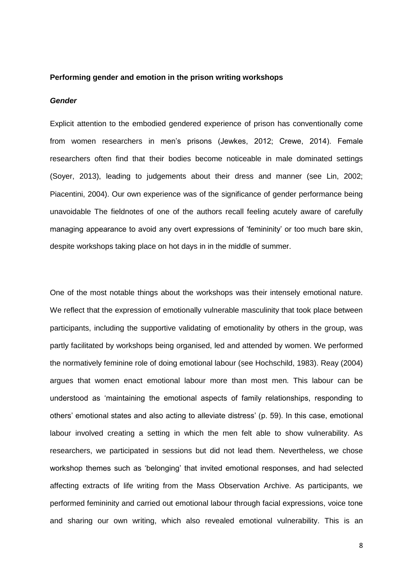#### **Performing gender and emotion in the prison writing workshops**

#### *Gender*

Explicit attention to the embodied gendered experience of prison has conventionally come from women researchers in men's prisons (Jewkes, 2012; Crewe, 2014). Female researchers often find that their bodies become noticeable in male dominated settings (Soyer, 2013), leading to judgements about their dress and manner (see Lin, 2002; Piacentini, 2004). Our own experience was of the significance of gender performance being unavoidable The fieldnotes of one of the authors recall feeling acutely aware of carefully managing appearance to avoid any overt expressions of 'femininity' or too much bare skin, despite workshops taking place on hot days in in the middle of summer.

One of the most notable things about the workshops was their intensely emotional nature. We reflect that the expression of emotionally vulnerable masculinity that took place between participants, including the supportive validating of emotionality by others in the group, was partly facilitated by workshops being organised, led and attended by women. We performed the normatively feminine role of doing emotional labour (see Hochschild, 1983). Reay (2004) argues that women enact emotional labour more than most men. This labour can be understood as 'maintaining the emotional aspects of family relationships, responding to others' emotional states and also acting to alleviate distress' (p. 59). In this case, emotional labour involved creating a setting in which the men felt able to show vulnerability. As researchers, we participated in sessions but did not lead them. Nevertheless, we chose workshop themes such as 'belonging' that invited emotional responses, and had selected affecting extracts of life writing from the Mass Observation Archive. As participants, we performed femininity and carried out emotional labour through facial expressions, voice tone and sharing our own writing, which also revealed emotional vulnerability. This is an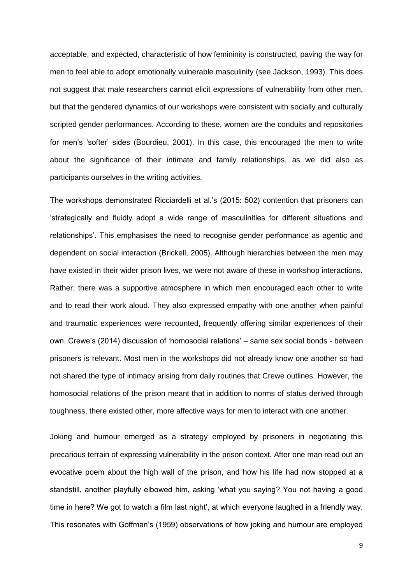acceptable, and expected, characteristic of how femininity is constructed, paving the way for men to feel able to adopt emotionally vulnerable masculinity (see Jackson, 1993). This does not suggest that male researchers cannot elicit expressions of vulnerability from other men, but that the gendered dynamics of our workshops were consistent with socially and culturally scripted gender performances. According to these, women are the conduits and repositories for men's 'softer' sides (Bourdieu, 2001). In this case, this encouraged the men to write about the significance of their intimate and family relationships, as we did also as participants ourselves in the writing activities.

The workshops demonstrated Ricciardelli et al.'s (2015: 502) contention that prisoners can 'strategically and fluidly adopt a wide range of masculinities for different situations and relationships'. This emphasises the need to recognise gender performance as agentic and dependent on social interaction (Brickell, 2005). Although hierarchies between the men may have existed in their wider prison lives, we were not aware of these in workshop interactions. Rather, there was a supportive atmosphere in which men encouraged each other to write and to read their work aloud. They also expressed empathy with one another when painful and traumatic experiences were recounted, frequently offering similar experiences of their own. Crewe's (2014) discussion of 'homosocial relations' – same sex social bonds - between prisoners is relevant. Most men in the workshops did not already know one another so had not shared the type of intimacy arising from daily routines that Crewe outlines. However, the homosocial relations of the prison meant that in addition to norms of status derived through toughness, there existed other, more affective ways for men to interact with one another.

Joking and humour emerged as a strategy employed by prisoners in negotiating this precarious terrain of expressing vulnerability in the prison context. After one man read out an evocative poem about the high wall of the prison, and how his life had now stopped at a standstill, another playfully elbowed him, asking 'what you saying? You not having a good time in here? We got to watch a film last night', at which everyone laughed in a friendly way. This resonates with Goffman's (1959) observations of how joking and humour are employed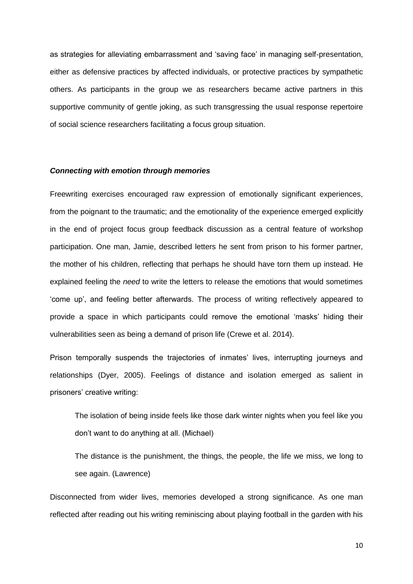as strategies for alleviating embarrassment and 'saving face' in managing self-presentation, either as defensive practices by affected individuals, or protective practices by sympathetic others. As participants in the group we as researchers became active partners in this supportive community of gentle joking, as such transgressing the usual response repertoire of social science researchers facilitating a focus group situation.

### *Connecting with emotion through memories*

Freewriting exercises encouraged raw expression of emotionally significant experiences, from the poignant to the traumatic; and the emotionality of the experience emerged explicitly in the end of project focus group feedback discussion as a central feature of workshop participation. One man, Jamie, described letters he sent from prison to his former partner, the mother of his children, reflecting that perhaps he should have torn them up instead. He explained feeling the *need* to write the letters to release the emotions that would sometimes 'come up', and feeling better afterwards. The process of writing reflectively appeared to provide a space in which participants could remove the emotional 'masks' hiding their vulnerabilities seen as being a demand of prison life (Crewe et al. 2014).

Prison temporally suspends the trajectories of inmates' lives, interrupting journeys and relationships (Dyer, 2005). Feelings of distance and isolation emerged as salient in prisoners' creative writing:

The isolation of being inside feels like those dark winter nights when you feel like you don't want to do anything at all. (Michael)

The distance is the punishment, the things, the people, the life we miss, we long to see again. (Lawrence)

Disconnected from wider lives, memories developed a strong significance. As one man reflected after reading out his writing reminiscing about playing football in the garden with his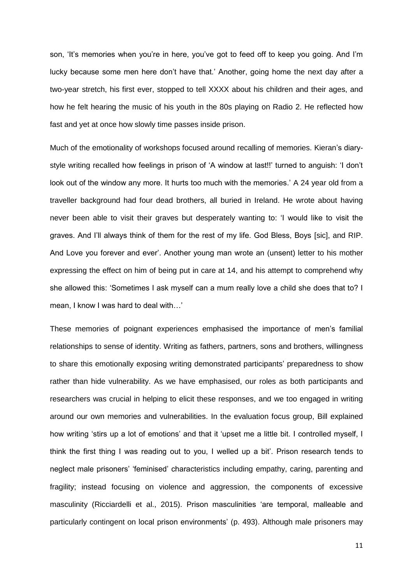son, 'It's memories when you're in here, you've got to feed off to keep you going. And I'm lucky because some men here don't have that.' Another, going home the next day after a two-year stretch, his first ever, stopped to tell XXXX about his children and their ages, and how he felt hearing the music of his youth in the 80s playing on Radio 2. He reflected how fast and yet at once how slowly time passes inside prison.

Much of the emotionality of workshops focused around recalling of memories. Kieran's diarystyle writing recalled how feelings in prison of 'A window at last!!' turned to anguish: 'I don't look out of the window any more. It hurts too much with the memories.' A 24 year old from a traveller background had four dead brothers, all buried in Ireland. He wrote about having never been able to visit their graves but desperately wanting to: 'I would like to visit the graves. And I'll always think of them for the rest of my life. God Bless, Boys [sic], and RIP. And Love you forever and ever'. Another young man wrote an (unsent) letter to his mother expressing the effect on him of being put in care at 14, and his attempt to comprehend why she allowed this: 'Sometimes I ask myself can a mum really love a child she does that to? I mean, I know I was hard to deal with…'

These memories of poignant experiences emphasised the importance of men's familial relationships to sense of identity. Writing as fathers, partners, sons and brothers, willingness to share this emotionally exposing writing demonstrated participants' preparedness to show rather than hide vulnerability. As we have emphasised, our roles as both participants and researchers was crucial in helping to elicit these responses, and we too engaged in writing around our own memories and vulnerabilities. In the evaluation focus group, Bill explained how writing 'stirs up a lot of emotions' and that it 'upset me a little bit. I controlled myself, I think the first thing I was reading out to you, I welled up a bit'. Prison research tends to neglect male prisoners' 'feminised' characteristics including empathy, caring, parenting and fragility; instead focusing on violence and aggression, the components of excessive masculinity (Ricciardelli et al., 2015). Prison masculinities 'are temporal, malleable and particularly contingent on local prison environments' (p. 493). Although male prisoners may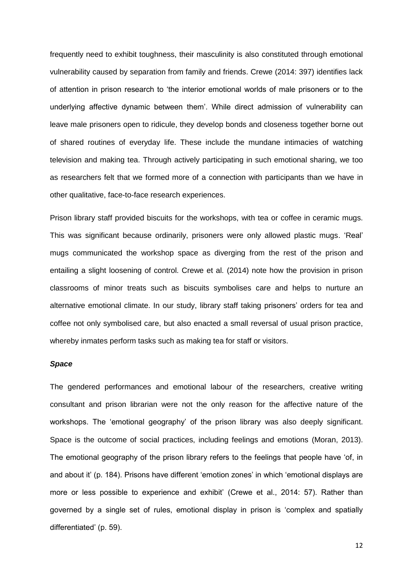frequently need to exhibit toughness, their masculinity is also constituted through emotional vulnerability caused by separation from family and friends. Crewe (2014: 397) identifies lack of attention in prison research to 'the interior emotional worlds of male prisoners or to the underlying affective dynamic between them'. While direct admission of vulnerability can leave male prisoners open to ridicule, they develop bonds and closeness together borne out of shared routines of everyday life. These include the mundane intimacies of watching television and making tea. Through actively participating in such emotional sharing, we too as researchers felt that we formed more of a connection with participants than we have in other qualitative, face-to-face research experiences.

Prison library staff provided biscuits for the workshops, with tea or coffee in ceramic mugs. This was significant because ordinarily, prisoners were only allowed plastic mugs. 'Real' mugs communicated the workshop space as diverging from the rest of the prison and entailing a slight loosening of control. Crewe et al. (2014) note how the provision in prison classrooms of minor treats such as biscuits symbolises care and helps to nurture an alternative emotional climate. In our study, library staff taking prisoners' orders for tea and coffee not only symbolised care, but also enacted a small reversal of usual prison practice, whereby inmates perform tasks such as making tea for staff or visitors.

## *Space*

The gendered performances and emotional labour of the researchers, creative writing consultant and prison librarian were not the only reason for the affective nature of the workshops. The 'emotional geography' of the prison library was also deeply significant. Space is the outcome of social practices, including feelings and emotions (Moran, 2013). The emotional geography of the prison library refers to the feelings that people have 'of, in and about it' (p. 184). Prisons have different 'emotion zones' in which 'emotional displays are more or less possible to experience and exhibit' (Crewe et al., 2014: 57). Rather than governed by a single set of rules, emotional display in prison is 'complex and spatially differentiated' (p. 59).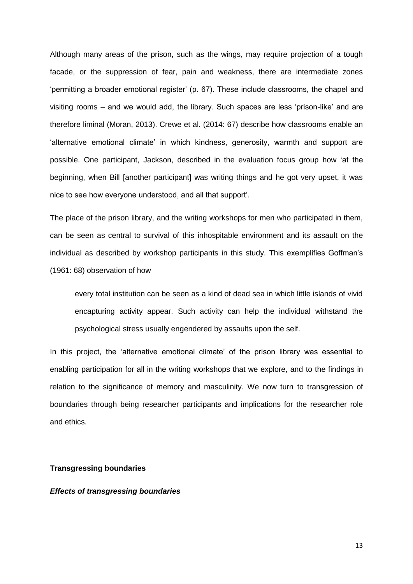Although many areas of the prison, such as the wings, may require projection of a tough facade, or the suppression of fear, pain and weakness, there are intermediate zones 'permitting a broader emotional register' (p. 67). These include classrooms, the chapel and visiting rooms – and we would add, the library. Such spaces are less 'prison-like' and are therefore liminal (Moran, 2013). Crewe et al. (2014: 67) describe how classrooms enable an 'alternative emotional climate' in which kindness, generosity, warmth and support are possible. One participant, Jackson, described in the evaluation focus group how 'at the beginning, when Bill [another participant] was writing things and he got very upset, it was nice to see how everyone understood, and all that support'.

The place of the prison library, and the writing workshops for men who participated in them, can be seen as central to survival of this inhospitable environment and its assault on the individual as described by workshop participants in this study. This exemplifies Goffman's (1961: 68) observation of how

every total institution can be seen as a kind of dead sea in which little islands of vivid encapturing activity appear. Such activity can help the individual withstand the psychological stress usually engendered by assaults upon the self.

In this project, the 'alternative emotional climate' of the prison library was essential to enabling participation for all in the writing workshops that we explore, and to the findings in relation to the significance of memory and masculinity. We now turn to transgression of boundaries through being researcher participants and implications for the researcher role and ethics.

#### **Transgressing boundaries**

# *Effects of transgressing boundaries*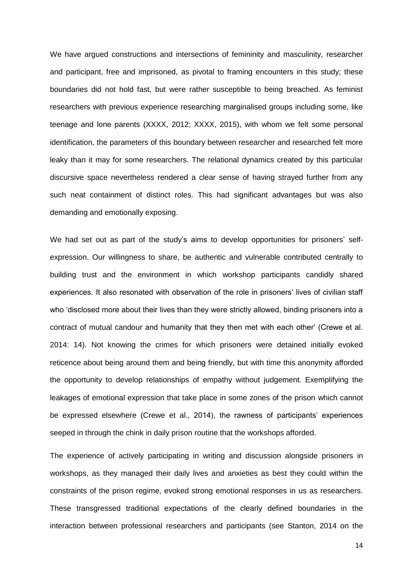We have argued constructions and intersections of femininity and masculinity, researcher and participant, free and imprisoned, as pivotal to framing encounters in this study; these boundaries did not hold fast, but were rather susceptible to being breached. As feminist researchers with previous experience researching marginalised groups including some, like teenage and lone parents (XXXX, 2012; XXXX, 2015), with whom we felt some personal identification, the parameters of this boundary between researcher and researched felt more leaky than it may for some researchers. The relational dynamics created by this particular discursive space nevertheless rendered a clear sense of having strayed further from any such neat containment of distinct roles. This had significant advantages but was also demanding and emotionally exposing.

We had set out as part of the study's aims to develop opportunities for prisoners' selfexpression. Our willingness to share, be authentic and vulnerable contributed centrally to building trust and the environment in which workshop participants candidly shared experiences. It also resonated with observation of the role in prisoners' lives of civilian staff who 'disclosed more about their lives than they were strictly allowed, binding prisoners into a contract of mutual candour and humanity that they then met with each other' (Crewe et al. 2014: 14). Not knowing the crimes for which prisoners were detained initially evoked reticence about being around them and being friendly, but with time this anonymity afforded the opportunity to develop relationships of empathy without judgement. Exemplifying the leakages of emotional expression that take place in some zones of the prison which cannot be expressed elsewhere (Crewe et al., 2014), the rawness of participants' experiences seeped in through the chink in daily prison routine that the workshops afforded.

The experience of actively participating in writing and discussion alongside prisoners in workshops, as they managed their daily lives and anxieties as best they could within the constraints of the prison regime, evoked strong emotional responses in us as researchers. These transgressed traditional expectations of the clearly defined boundaries in the interaction between professional researchers and participants (see Stanton, 2014 on the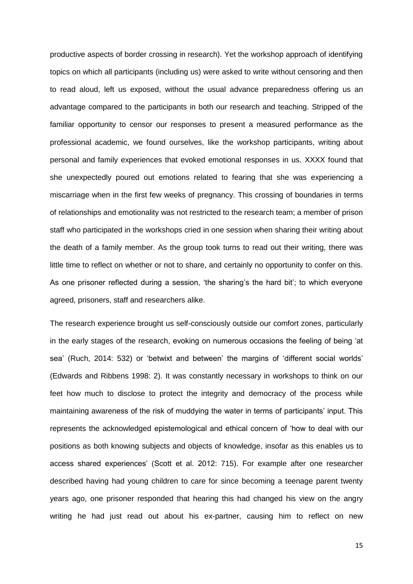productive aspects of border crossing in research). Yet the workshop approach of identifying topics on which all participants (including us) were asked to write without censoring and then to read aloud, left us exposed, without the usual advance preparedness offering us an advantage compared to the participants in both our research and teaching. Stripped of the familiar opportunity to censor our responses to present a measured performance as the professional academic, we found ourselves, like the workshop participants, writing about personal and family experiences that evoked emotional responses in us. XXXX found that she unexpectedly poured out emotions related to fearing that she was experiencing a miscarriage when in the first few weeks of pregnancy. This crossing of boundaries in terms of relationships and emotionality was not restricted to the research team; a member of prison staff who participated in the workshops cried in one session when sharing their writing about the death of a family member. As the group took turns to read out their writing, there was little time to reflect on whether or not to share, and certainly no opportunity to confer on this. As one prisoner reflected during a session, 'the sharing's the hard bit'; to which everyone agreed, prisoners, staff and researchers alike.

The research experience brought us self-consciously outside our comfort zones, particularly in the early stages of the research, evoking on numerous occasions the feeling of being 'at sea' (Ruch, 2014: 532) or 'betwixt and between' the margins of 'different social worlds' (Edwards and Ribbens 1998: 2). It was constantly necessary in workshops to think on our feet how much to disclose to protect the integrity and democracy of the process while maintaining awareness of the risk of muddying the water in terms of participants' input. This represents the acknowledged epistemological and ethical concern of 'how to deal with our positions as both knowing subjects and objects of knowledge, insofar as this enables us to access shared experiences' (Scott et al. 2012: 715). For example after one researcher described having had young children to care for since becoming a teenage parent twenty years ago, one prisoner responded that hearing this had changed his view on the angry writing he had just read out about his ex-partner, causing him to reflect on new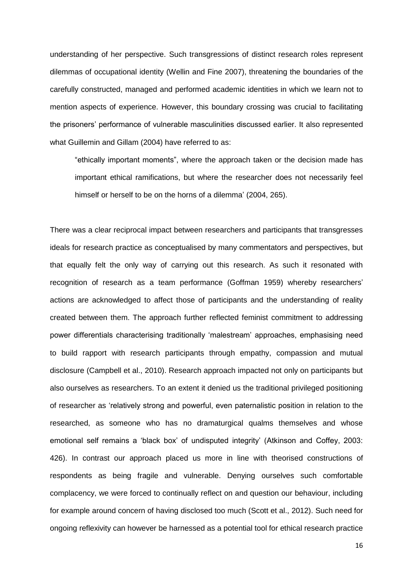understanding of her perspective. Such transgressions of distinct research roles represent dilemmas of occupational identity (Wellin and Fine 2007), threatening the boundaries of the carefully constructed, managed and performed academic identities in which we learn not to mention aspects of experience. However, this boundary crossing was crucial to facilitating the prisoners' performance of vulnerable masculinities discussed earlier. It also represented what Guillemin and Gillam (2004) have referred to as:

"ethically important moments", where the approach taken or the decision made has important ethical ramifications, but where the researcher does not necessarily feel himself or herself to be on the horns of a dilemma' (2004, 265).

There was a clear reciprocal impact between researchers and participants that transgresses ideals for research practice as conceptualised by many commentators and perspectives, but that equally felt the only way of carrying out this research. As such it resonated with recognition of research as a team performance (Goffman 1959) whereby researchers' actions are acknowledged to affect those of participants and the understanding of reality created between them. The approach further reflected feminist commitment to addressing power differentials characterising traditionally 'malestream' approaches, emphasising need to build rapport with research participants through empathy, compassion and mutual disclosure (Campbell et al., 2010). Research approach impacted not only on participants but also ourselves as researchers. To an extent it denied us the traditional privileged positioning of researcher as 'relatively strong and powerful, even paternalistic position in relation to the researched, as someone who has no dramaturgical qualms themselves and whose emotional self remains a 'black box' of undisputed integrity' (Atkinson and Coffey, 2003: 426). In contrast our approach placed us more in line with theorised constructions of respondents as being fragile and vulnerable. Denying ourselves such comfortable complacency, we were forced to continually reflect on and question our behaviour, including for example around concern of having disclosed too much (Scott et al., 2012). Such need for ongoing reflexivity can however be harnessed as a potential tool for ethical research practice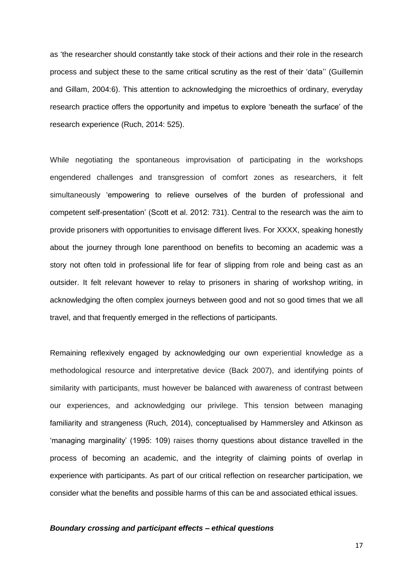as 'the researcher should constantly take stock of their actions and their role in the research process and subject these to the same critical scrutiny as the rest of their 'data'' (Guillemin and Gillam, 2004:6). This attention to acknowledging the microethics of ordinary, everyday research practice offers the opportunity and impetus to explore 'beneath the surface' of the research experience (Ruch, 2014: 525).

While negotiating the spontaneous improvisation of participating in the workshops engendered challenges and transgression of comfort zones as researchers, it felt simultaneously 'empowering to relieve ourselves of the burden of professional and competent self-presentation' (Scott et al. 2012: 731). Central to the research was the aim to provide prisoners with opportunities to envisage different lives. For XXXX, speaking honestly about the journey through lone parenthood on benefits to becoming an academic was a story not often told in professional life for fear of slipping from role and being cast as an outsider. It felt relevant however to relay to prisoners in sharing of workshop writing, in acknowledging the often complex journeys between good and not so good times that we all travel, and that frequently emerged in the reflections of participants.

Remaining reflexively engaged by acknowledging our own experiential knowledge as a methodological resource and interpretative device (Back 2007), and identifying points of similarity with participants, must however be balanced with awareness of contrast between our experiences, and acknowledging our privilege. This tension between managing familiarity and strangeness (Ruch, 2014), conceptualised by Hammersley and Atkinson as 'managing marginality' (1995: 109) raises thorny questions about distance travelled in the process of becoming an academic, and the integrity of claiming points of overlap in experience with participants. As part of our critical reflection on researcher participation, we consider what the benefits and possible harms of this can be and associated ethical issues.

# *Boundary crossing and participant effects – ethical questions*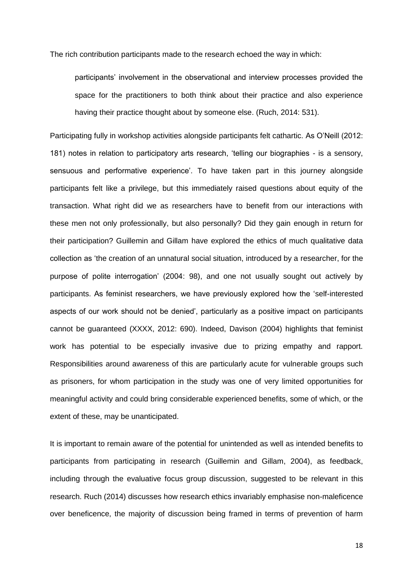The rich contribution participants made to the research echoed the way in which:

participants' involvement in the observational and interview processes provided the space for the practitioners to both think about their practice and also experience having their practice thought about by someone else. (Ruch, 2014: 531).

Participating fully in workshop activities alongside participants felt cathartic. As O'Neill (2012: 181) notes in relation to participatory arts research, 'telling our biographies - is a sensory, sensuous and performative experience'. To have taken part in this journey alongside participants felt like a privilege, but this immediately raised questions about equity of the transaction. What right did we as researchers have to benefit from our interactions with these men not only professionally, but also personally? Did they gain enough in return for their participation? Guillemin and Gillam have explored the ethics of much qualitative data collection as 'the creation of an unnatural social situation, introduced by a researcher, for the purpose of polite interrogation' (2004: 98), and one not usually sought out actively by participants. As feminist researchers, we have previously explored how the 'self-interested aspects of our work should not be denied', particularly as a positive impact on participants cannot be guaranteed (XXXX, 2012: 690). Indeed, Davison (2004) highlights that feminist work has potential to be especially invasive due to prizing empathy and rapport. Responsibilities around awareness of this are particularly acute for vulnerable groups such as prisoners, for whom participation in the study was one of very limited opportunities for meaningful activity and could bring considerable experienced benefits, some of which, or the extent of these, may be unanticipated.

It is important to remain aware of the potential for unintended as well as intended benefits to participants from participating in research (Guillemin and Gillam, 2004), as feedback, including through the evaluative focus group discussion, suggested to be relevant in this research. Ruch (2014) discusses how research ethics invariably emphasise non-maleficence over beneficence, the majority of discussion being framed in terms of prevention of harm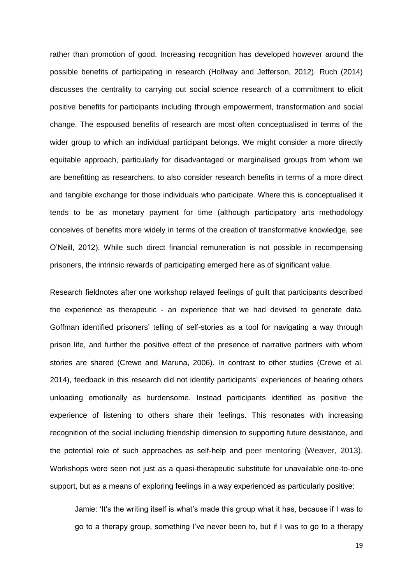rather than promotion of good. Increasing recognition has developed however around the possible benefits of participating in research (Hollway and Jefferson, 2012). Ruch (2014) discusses the centrality to carrying out social science research of a commitment to elicit positive benefits for participants including through empowerment, transformation and social change. The espoused benefits of research are most often conceptualised in terms of the wider group to which an individual participant belongs. We might consider a more directly equitable approach, particularly for disadvantaged or marginalised groups from whom we are benefitting as researchers, to also consider research benefits in terms of a more direct and tangible exchange for those individuals who participate. Where this is conceptualised it tends to be as monetary payment for time (although participatory arts methodology conceives of benefits more widely in terms of the creation of transformative knowledge, see O'Neill, 2012). While such direct financial remuneration is not possible in recompensing prisoners, the intrinsic rewards of participating emerged here as of significant value.

Research fieldnotes after one workshop relayed feelings of guilt that participants described the experience as therapeutic - an experience that we had devised to generate data. Goffman identified prisoners' telling of self-stories as a tool for navigating a way through prison life, and further the positive effect of the presence of narrative partners with whom stories are shared (Crewe and Maruna, 2006). In contrast to other studies (Crewe et al. 2014), feedback in this research did not identify participants' experiences of hearing others unloading emotionally as burdensome. Instead participants identified as positive the experience of listening to others share their feelings. This resonates with increasing recognition of the social including friendship dimension to supporting future desistance, and the potential role of such approaches as self-help and peer mentoring (Weaver, 2013). Workshops were seen not just as a quasi-therapeutic substitute for unavailable one-to-one support, but as a means of exploring feelings in a way experienced as particularly positive:

Jamie: 'It's the writing itself is what's made this group what it has, because if I was to go to a therapy group, something I've never been to, but if I was to go to a therapy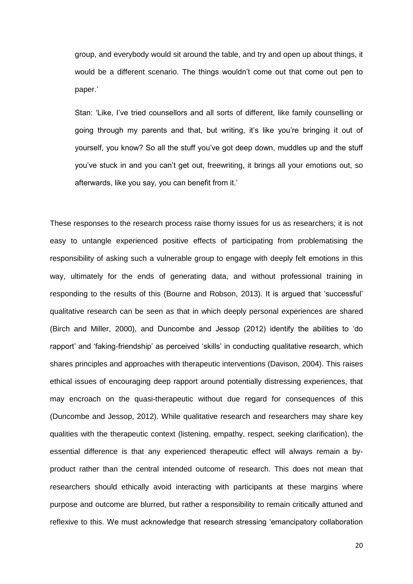group, and everybody would sit around the table, and try and open up about things, it would be a different scenario. The things wouldn't come out that come out pen to paper.'

Stan: 'Like, I've tried counsellors and all sorts of different, like family counselling or going through my parents and that, but writing, it's like you're bringing it out of yourself, you know? So all the stuff you've got deep down, muddles up and the stuff you've stuck in and you can't get out, freewriting, it brings all your emotions out, so afterwards, like you say, you can benefit from it.'

These responses to the research process raise thorny issues for us as researchers; it is not easy to untangle experienced positive effects of participating from problematising the responsibility of asking such a vulnerable group to engage with deeply felt emotions in this way, ultimately for the ends of generating data, and without professional training in responding to the results of this (Bourne and Robson, 2013). It is argued that 'successful' qualitative research can be seen as that in which deeply personal experiences are shared (Birch and Miller, 2000), and Duncombe and Jessop (2012) identify the abilities to 'do rapport' and 'faking-friendship' as perceived 'skills' in conducting qualitative research, which shares principles and approaches with therapeutic interventions (Davison, 2004). This raises ethical issues of encouraging deep rapport around potentially distressing experiences, that may encroach on the quasi-therapeutic without due regard for consequences of this (Duncombe and Jessop, 2012). While qualitative research and researchers may share key qualities with the therapeutic context (listening, empathy, respect, seeking clarification), the essential difference is that any experienced therapeutic effect will always remain a byproduct rather than the central intended outcome of research. This does not mean that researchers should ethically avoid interacting with participants at these margins where purpose and outcome are blurred, but rather a responsibility to remain critically attuned and reflexive to this. We must acknowledge that research stressing 'emancipatory collaboration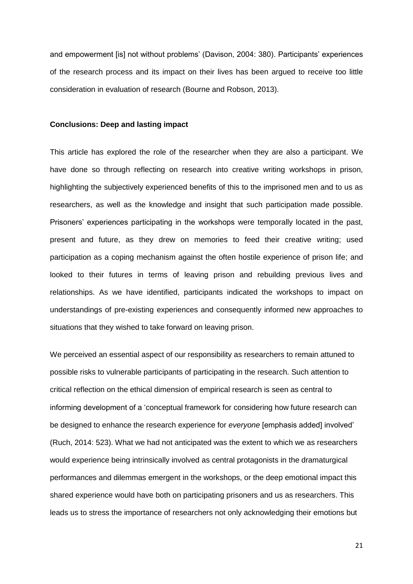and empowerment [is] not without problems' (Davison, 2004: 380). Participants' experiences of the research process and its impact on their lives has been argued to receive too little consideration in evaluation of research (Bourne and Robson, 2013).

#### **Conclusions: Deep and lasting impact**

This article has explored the role of the researcher when they are also a participant. We have done so through reflecting on research into creative writing workshops in prison, highlighting the subjectively experienced benefits of this to the imprisoned men and to us as researchers, as well as the knowledge and insight that such participation made possible. Prisoners' experiences participating in the workshops were temporally located in the past, present and future, as they drew on memories to feed their creative writing; used participation as a coping mechanism against the often hostile experience of prison life; and looked to their futures in terms of leaving prison and rebuilding previous lives and relationships. As we have identified, participants indicated the workshops to impact on understandings of pre-existing experiences and consequently informed new approaches to situations that they wished to take forward on leaving prison.

We perceived an essential aspect of our responsibility as researchers to remain attuned to possible risks to vulnerable participants of participating in the research. Such attention to critical reflection on the ethical dimension of empirical research is seen as central to informing development of a 'conceptual framework for considering how future research can be designed to enhance the research experience for *everyone* [emphasis added] involved' (Ruch, 2014: 523). What we had not anticipated was the extent to which we as researchers would experience being intrinsically involved as central protagonists in the dramaturgical performances and dilemmas emergent in the workshops, or the deep emotional impact this shared experience would have both on participating prisoners and us as researchers. This leads us to stress the importance of researchers not only acknowledging their emotions but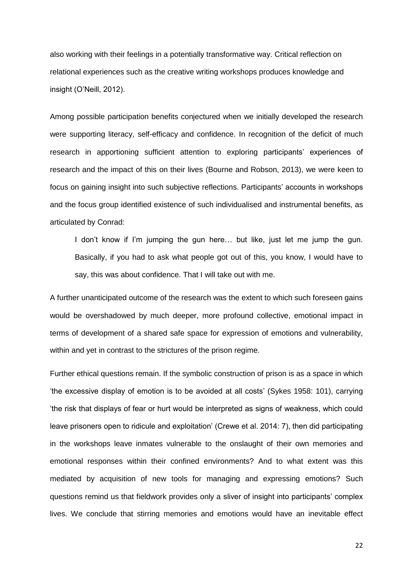also working with their feelings in a potentially transformative way. Critical reflection on relational experiences such as the creative writing workshops produces knowledge and insight (O'Neill, 2012).

Among possible participation benefits conjectured when we initially developed the research were supporting literacy, self-efficacy and confidence. In recognition of the deficit of much research in apportioning sufficient attention to exploring participants' experiences of research and the impact of this on their lives (Bourne and Robson, 2013), we were keen to focus on gaining insight into such subjective reflections. Participants' accounts in workshops and the focus group identified existence of such individualised and instrumental benefits, as articulated by Conrad:

I don't know if I'm jumping the gun here... but like, just let me jump the gun. Basically, if you had to ask what people got out of this, you know, I would have to say, this was about confidence. That I will take out with me.

A further unanticipated outcome of the research was the extent to which such foreseen gains would be overshadowed by much deeper, more profound collective, emotional impact in terms of development of a shared safe space for expression of emotions and vulnerability, within and yet in contrast to the strictures of the prison regime.

Further ethical questions remain. If the symbolic construction of prison is as a space in which 'the excessive display of emotion is to be avoided at all costs' (Sykes 1958: 101), carrying 'the risk that displays of fear or hurt would be interpreted as signs of weakness, which could leave prisoners open to ridicule and exploitation' (Crewe et al. 2014: 7), then did participating in the workshops leave inmates vulnerable to the onslaught of their own memories and emotional responses within their confined environments? And to what extent was this mediated by acquisition of new tools for managing and expressing emotions? Such questions remind us that fieldwork provides only a sliver of insight into participants' complex lives. We conclude that stirring memories and emotions would have an inevitable effect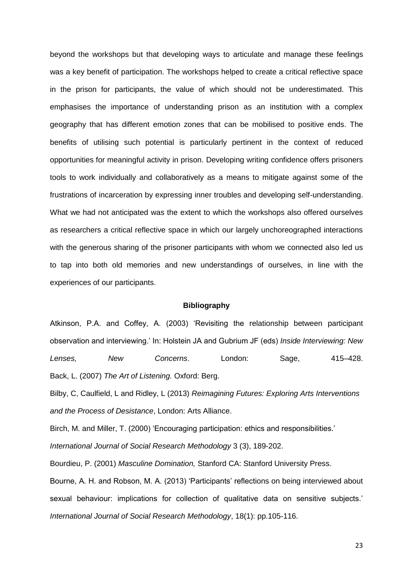beyond the workshops but that developing ways to articulate and manage these feelings was a key benefit of participation. The workshops helped to create a critical reflective space in the prison for participants, the value of which should not be underestimated. This emphasises the importance of understanding prison as an institution with a complex geography that has different emotion zones that can be mobilised to positive ends. The benefits of utilising such potential is particularly pertinent in the context of reduced opportunities for meaningful activity in prison. Developing writing confidence offers prisoners tools to work individually and collaboratively as a means to mitigate against some of the frustrations of incarceration by expressing inner troubles and developing self-understanding. What we had not anticipated was the extent to which the workshops also offered ourselves as researchers a critical reflective space in which our largely unchoreographed interactions with the generous sharing of the prisoner participants with whom we connected also led us to tap into both old memories and new understandings of ourselves, in line with the experiences of our participants.

#### **Bibliography**

Atkinson, P.A. and Coffey, A. (2003) 'Revisiting the relationship between participant observation and interviewing.' In: Holstein JA and Gubrium JF (eds) *Inside Interviewing: New Lenses, New Concerns*. London: Sage, 415–428. Back, L. (2007) *The Art of Listening.* Oxford: Berg.

Bilby, C, Caulfield, L and Ridley, L (2013) *Reimagining Futures: Exploring Arts Interventions and the Process of Desistance*, London: Arts Alliance.

Birch, M. and Miller, T. (2000) 'Encouraging participation: ethics and responsibilities.'

*International Journal of Social Research Methodology* 3 (3), 189-202.

Bourdieu, P. (2001) *Masculine Domination,* Stanford CA: Stanford University Press.

Bourne, A. H. and Robson, M. A. (2013) 'Participants' reflections on being interviewed about sexual behaviour: implications for collection of qualitative data on sensitive subjects.' *International Journal of Social Research Methodology*, 18(1): pp.105-116.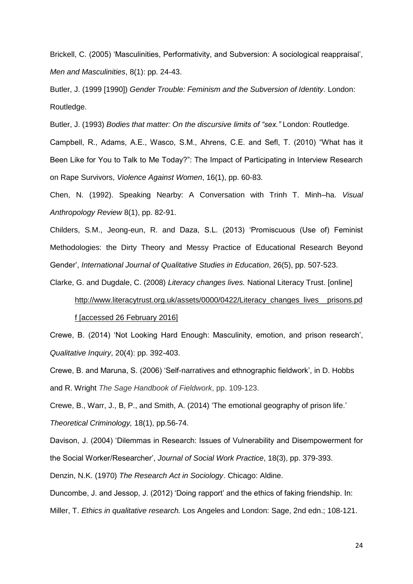Brickell, C. (2005) 'Masculinities, Performativity, and Subversion: A sociological reappraisal', *Men and Masculinities*, 8(1): pp. 24-43.

Butler, J. (1999 [1990]) *Gender Trouble: Feminism and the Subversion of Identity*. London: Routledge.

Butler, J. (1993) *Bodies that matter: On the discursive limits of "sex."* London: Routledge.

Campbell, R., Adams, A.E., Wasco, S.M., Ahrens, C.E. and Sefl, T. (2010) "What has it Been Like for You to Talk to Me Today?": The Impact of Participating in Interview Research on Rape Survivors, *Violence Against Women*, 16(1), pp. 60-83.

Chen, N. (1992). Speaking Nearby: A Conversation with Trinh T. Minh–ha. *Visual Anthropology Review* 8(1), pp. 82-91.

Childers, S.M., Jeong-eun, R. and Daza, S.L. (2013) 'Promiscuous (Use of) Feminist Methodologies: the Dirty Theory and Messy Practice of Educational Research Beyond Gender', *International Journal of Qualitative Studies in Education*, 26(5), pp. 507-523.

Crewe, B. (2014) 'Not Looking Hard Enough: Masculinity, emotion, and prison research', *Qualitative Inquiry*, 20(4): pp. 392-403.

Crewe, B. and Maruna, S. (2006) 'Self-narratives and ethnographic fieldwork', in D. Hobbs and R. Wright *The Sage Handbook of Fieldwork*, pp. 109-123.

Crewe, B., Warr, J., B, P., and Smith, A. (2014) ['The emotional geography of prison life.](http://sussex-primo.hosted.exlibrisgroup.com/primo_library/libweb/action/display.do?frbrVersion=8&tabs=viewOnlineTab&ct=display&fn=search&doc=TN_sagej10.1177_1362480613497778&indx=2&recIds=TN_sagej10.1177_1362480613497778&recIdxs=1&elementId=1&renderMode=poppedOut&displayMode=full&frbrVersion=8&frbg=&&dscnt=0&scp.scps=scope%3A%2844SUS_ALMA%29%2Cscope%3A%2844SUS_EPR_DS%29%2Cprimo_central_multiple_fe&mode=Basic&vid=44SUS_VU1&srt=rank&tab=default&vl(freeText0)=ben%20crewe%20prison%20emotion%202014&dum=true&dstmp=1456495682603)' *Theoretical Criminology,* 18(1), pp.56-74.

Davison, J. (2004) 'Dilemmas in Research: Issues of Vulnerability and Disempowerment for the Social Worker/Researcher', *Journal of Social Work Practice*, 18(3), pp. 379-393.

Denzin, N.K. (1970) *The Research Act in Sociology*. Chicago: Aldine.

Duncombe, J. and Jessop, J. (2012) 'Doing rapport' and the ethics of faking friendship. In:

Miller, T. *Ethics in qualitative research.* Los Angeles and London: Sage, 2nd edn.; 108-121.

Clarke, G. and Dugdale, C. (2008) *Literacy changes lives.* National Literacy Trust. [online] [http://www.literacytrust.org.uk/assets/0000/0422/Literacy\\_changes\\_lives\\_\\_prisons.pd](http://www.literacytrust.org.uk/assets/0000/0422/Literacy_changes_lives__prisons.pdf) [f](http://www.literacytrust.org.uk/assets/0000/0422/Literacy_changes_lives__prisons.pdf) [accessed 26 February 2016]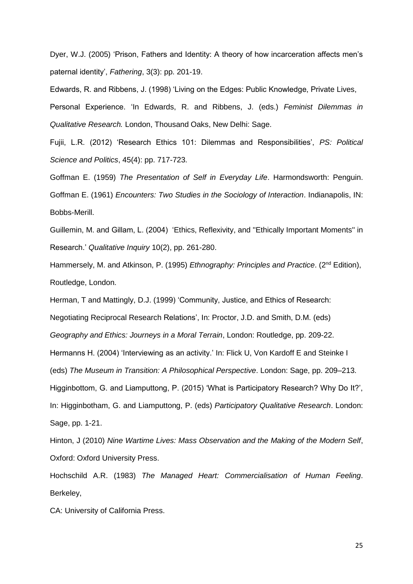Dyer, W.J. (2005) 'Prison, Fathers and Identity: A theory of how incarceration affects men's paternal identity', *Fathering*, 3(3): pp. 201-19.

Edwards, R. and Ribbens, J. (1998) 'Living on the Edges: Public Knowledge, Private Lives, Personal Experience. 'In Edwards, R. and Ribbens, J. (eds.) *Feminist Dilemmas in Qualitative Research.* London, Thousand Oaks, New Delhi: Sage.

Fujii, L.R. (2012) 'Research Ethics 101: Dilemmas and Responsibilities', *PS: Political Science and Politics*, 45(4): pp. 717-723.

Goffman E. (1959) *The Presentation of Self in Everyday Life*. Harmondsworth: Penguin. Goffman E. (1961) *Encounters: Two Studies in the Sociology of Interaction*. Indianapolis, IN: Bobbs-Merill.

Guillemin, M. and Gillam, L. (2004) 'Ethics, Reflexivity, and ''Ethically Important Moments'' in Research.' *Qualitative Inquiry* 10(2), pp. 261-280.

Hammersely, M. and Atkinson, P. (1995) *Ethnography: Principles and Practice*. (2nd Edition), Routledge, London.

Herman, T and Mattingly, D.J. (1999) 'Community, Justice, and Ethics of Research:

Negotiating Reciprocal Research Relations', In: Proctor, J.D. and Smith, D.M. (eds)

*Geography and Ethics: Journeys in a Moral Terrain*, London: Routledge, pp. 209-22.

Hermanns H. (2004) 'Interviewing as an activity.' In: Flick U, Von Kardoff E and Steinke I

(eds) *The Museum in Transition: A Philosophical Perspective*. London: Sage, pp. 209–213.

Higginbottom, G. and Liamputtong, P. (2015) 'What is Participatory Research? Why Do It?', In: Higginbotham, G. and Liamputtong, P. (eds) *Participatory Qualitative Research*. London:

Sage, pp. 1-21.

Hinton, J (2010) *Nine Wartime Lives: Mass Observation and the Making of the Modern Self*, Oxford: Oxford University Press.

Hochschild A.R. (1983) *The Managed Heart: Commercialisation of Human Feeling*. Berkeley,

CA: University of California Press.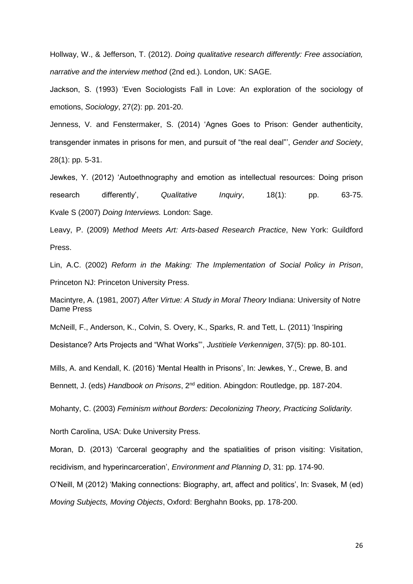Hollway, W., & Jefferson, T. (2012). *Doing qualitative research differently: Free association, narrative and the interview method* (2nd ed.). London, UK: SAGE.

Jackson, S. (1993) 'Even Sociologists Fall in Love: An exploration of the sociology of emotions, *Sociology*, 27(2): pp. 201-20.

Jenness, V. and Fenstermaker, S. (2014) 'Agnes Goes to Prison: Gender authenticity, transgender inmates in prisons for men, and pursuit of "the real deal"', *Gender and Society*, 28(1): pp. 5-31.

Jewkes, Y. (2012) 'Autoethnography and emotion as intellectual resources: Doing prison research differently', *Qualitative Inquiry*, 18(1): pp. 63-75. Kvale S (2007) *Doing Interviews.* London: Sage.

Leavy, P. (2009) *Method Meets Art: Arts-based Research Practice*, New York: Guildford Press.

Lin, A.C. (2002) *Reform in the Making: The Implementation of Social Policy in Prison*, Princeton NJ: Princeton University Press.

Macintyre, A. (1981, 2007) *After Virtue: A Study in Moral Theory* Indiana: University of Notre Dame Press

McNeill, F., Anderson, K., Colvin, S. Overy, K., Sparks, R. and Tett, L. (2011) 'Inspiring

Desistance? Arts Projects and "What Works"', *Justitiele Verkennigen*, 37(5): pp. 80-101.

Mills, A. and Kendall, K. (2016) 'Mental Health in Prisons', In: Jewkes, Y., Crewe, B. and

Bennett, J. (eds) *Handbook on Prisons*, 2nd edition. Abingdon: Routledge, pp. 187-204.

Mohanty, C. (2003) *Feminism without Borders: Decolonizing Theory, Practicing Solidarity.* 

North Carolina, USA: Duke University Press.

Moran, D. (2013) 'Carceral geography and the spatialities of prison visiting: Visitation, recidivism, and hyperincarceration', *Environment and Planning D*, 31: pp. 174-90.

O'Neill, M (2012) 'Making connections: Biography, art, affect and politics', In: Svasek, M (ed) *Moving Subjects, Moving Objects*, Oxford: Berghahn Books, pp. 178-200.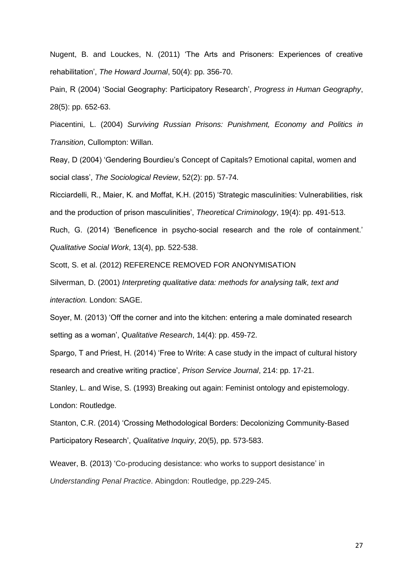Nugent, B. and Louckes, N. (2011) 'The Arts and Prisoners: Experiences of creative rehabilitation', *The Howard Journal*, 50(4): pp. 356-70.

Pain, R (2004) 'Social Geography: Participatory Research', *Progress in Human Geography*, 28(5): pp. 652-63.

Piacentini, L. (2004) *Surviving Russian Prisons: Punishment, Economy and Politics in Transition*, Cullompton: Willan.

Reay, D (2004) 'Gendering Bourdieu's Concept of Capitals? Emotional capital, women and social class', *The Sociological Review*, 52(2): pp. 57-74.

Ricciardelli, R., Maier, K. and Moffat, K.H. (2015) 'Strategic masculinities: Vulnerabilities, risk and the production of prison masculinities', *Theoretical Criminology*, 19(4): pp. 491-513.

Ruch, G. (2014) 'Beneficence in psycho-social research and the role of containment.' *Qualitative Social Work*, 13(4), pp. 522-538.

Scott, S. et al. (2012) REFERENCE REMOVED FOR ANONYMISATION

Silverman, D. (2001) *[Interpreting qualitative data: methods for analysing talk, text and](http://sussex-primo.hosted.exlibrisgroup.com/primo_library/libweb/action/display.do?tabs=requestTab&ct=display&fn=search&doc=44SUS_ALMA_DS2170423980002461&indx=4&recIds=44SUS_ALMA_DS2170423980002461&recIdxs=3&elementId=3&renderMode=poppedOut&displayMode=full&frbrVersion=&frbg=&&dscnt=0&scp.scps=scope%3A%2844SUS_PHYSICAL%29%2Cscope%3A%2844SUS_EBOOKS%29&mode=Basic&vid=44SUS_VU1&srt=rank&tab=default&vl(freeText0)=Silverman%202001&dum=true&dstmp=1456496012944)  [interaction.](http://sussex-primo.hosted.exlibrisgroup.com/primo_library/libweb/action/display.do?tabs=requestTab&ct=display&fn=search&doc=44SUS_ALMA_DS2170423980002461&indx=4&recIds=44SUS_ALMA_DS2170423980002461&recIdxs=3&elementId=3&renderMode=poppedOut&displayMode=full&frbrVersion=&frbg=&&dscnt=0&scp.scps=scope%3A%2844SUS_PHYSICAL%29%2Cscope%3A%2844SUS_EBOOKS%29&mode=Basic&vid=44SUS_VU1&srt=rank&tab=default&vl(freeText0)=Silverman%202001&dum=true&dstmp=1456496012944)* London: SAGE.

Soyer, M. (2013) 'Off the corner and into the kitchen: entering a male dominated research setting as a woman', *Qualitative Research*, 14(4): pp. 459-72.

Spargo, T and Priest, H. (2014) 'Free to Write: A case study in the impact of cultural history research and creative writing practice', *Prison Service Journal*, 214: pp. 17-21.

Stanley, L. and Wise, S. (1993) Breaking out again: Feminist ontology and epistemology. London: Routledge.

Stanton, C.R. (2014) 'Crossing Methodological Borders: Decolonizing Community-Based Participatory Research', *Qualitative Inquiry*, 20(5), pp. 573-583.

Weaver, B. (2013) 'Co-producing desistance: who works to support desistance' in *Understanding Penal Practice*. Abingdon: Routledge, pp.229-245.